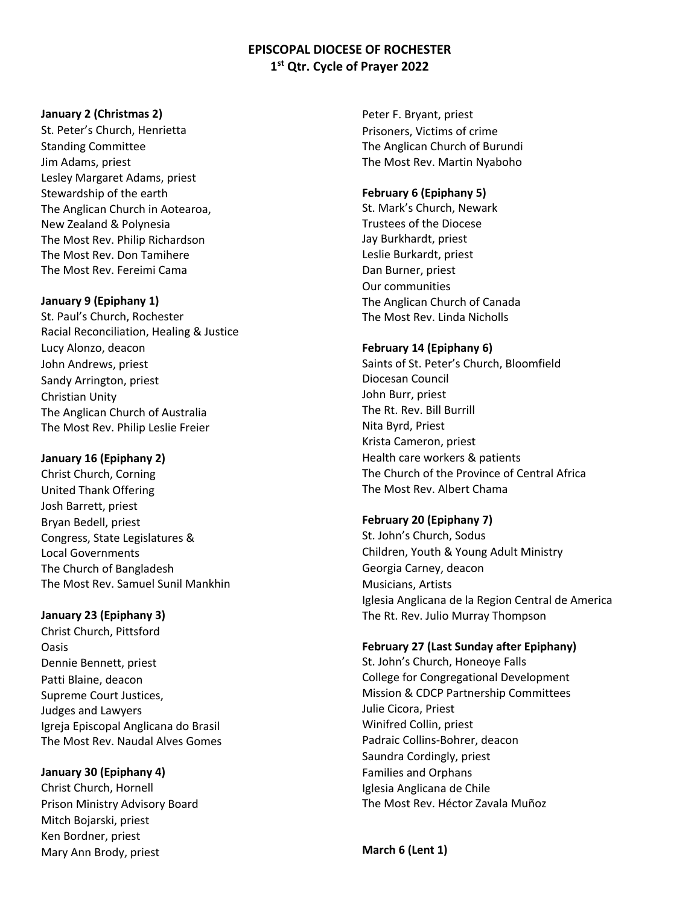# **EPISCOPAL DIOCESE OF ROCHESTER 1st Qtr. Cycle of Prayer 2022**

#### **January 2 (Christmas 2)**

St. Peter's Church, Henrietta Standing Committee Jim Adams, priest Lesley Margaret Adams, priest Stewardship of the earth The Anglican Church in Aotearoa, New Zealand & Polynesia The Most Rev. Philip Richardson The Most Rev. Don Tamihere The Most Rev. Fereimi Cama

#### **January 9 (Epiphany 1)**

St. Paul's Church, Rochester Racial Reconciliation, Healing & Justice Lucy Alonzo, deacon John Andrews, priest Sandy Arrington, priest Christian Unity The Anglican Church of Australia The Most Rev. Philip Leslie Freier

#### **January 16 (Epiphany 2)**

Christ Church, Corning United Thank Offering Josh Barrett, priest Bryan Bedell, priest Congress, State Legislatures & Local Governments The Church of Bangladesh The Most Rev. Samuel Sunil Mankhin

#### **January 23 (Epiphany 3)**

Christ Church, Pittsford Oasis Dennie Bennett, priest Patti Blaine, deacon Supreme Court Justices, Judges and Lawyers Igreja Episcopal Anglicana do Brasil The Most Rev. Naudal Alves Gomes

### **January 30 (Epiphany 4)**

Christ Church, Hornell Prison Ministry Advisory Board Mitch Bojarski, priest Ken Bordner, priest Mary Ann Brody, priest

Peter F. Bryant, priest Prisoners, Victims of crime The Anglican Church of Burundi The Most Rev. Martin Nyaboho

#### **February 6 (Epiphany 5)**

St. Mark's Church, Newark Trustees of the Diocese Jay Burkhardt, priest Leslie Burkardt, priest Dan Burner, priest Our communities The Anglican Church of Canada The Most Rev. Linda Nicholls

#### **February 14 (Epiphany 6)**

Saints of St. Peter's Church, Bloomfield Diocesan Council John Burr, priest The Rt. Rev. Bill Burrill Nita Byrd, Priest Krista Cameron, priest Health care workers & patients The Church of the Province of Central Africa The Most Rev. Albert Chama

#### **February 20 (Epiphany 7)**

St. John's Church, Sodus Children, Youth & Young Adult Ministry Georgia Carney, deacon Musicians, Artists Iglesia Anglicana de la Region Central de America The Rt. Rev. Julio Murray Thompson

#### **February 27 (Last Sunday after Epiphany)**

St. John's Church, Honeoye Falls College for Congregational Development Mission & CDCP Partnership Committees Julie Cicora, Priest Winifred Collin, priest Padraic Collins-Bohrer, deacon Saundra Cordingly, priest Families and Orphans Iglesia Anglicana de Chile The Most Rev. Héctor Zavala Muñoz

**March 6 (Lent 1)**